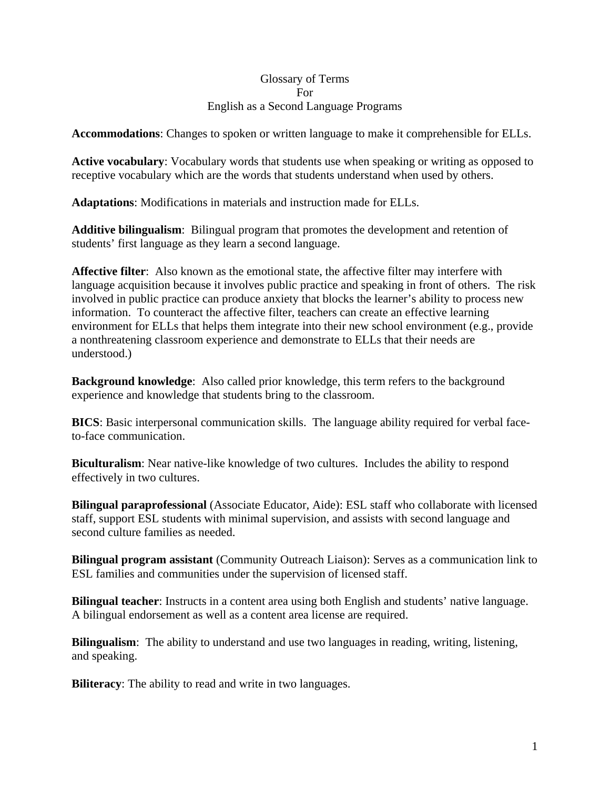### Glossary of Terms For English as a Second Language Programs

**Accommodations**: Changes to spoken or written language to make it comprehensible for ELLs.

**Active vocabulary**: Vocabulary words that students use when speaking or writing as opposed to receptive vocabulary which are the words that students understand when used by others.

**Adaptations**: Modifications in materials and instruction made for ELLs.

**Additive bilingualism**: Bilingual program that promotes the development and retention of students' first language as they learn a second language.

**Affective filter**: Also known as the emotional state, the affective filter may interfere with language acquisition because it involves public practice and speaking in front of others. The risk involved in public practice can produce anxiety that blocks the learner's ability to process new information. To counteract the affective filter, teachers can create an effective learning environment for ELLs that helps them integrate into their new school environment (e.g., provide a nonthreatening classroom experience and demonstrate to ELLs that their needs are understood.)

**Background knowledge**: Also called prior knowledge, this term refers to the background experience and knowledge that students bring to the classroom.

**BICS**: Basic interpersonal communication skills. The language ability required for verbal faceto-face communication.

**Biculturalism**: Near native-like knowledge of two cultures. Includes the ability to respond effectively in two cultures.

**Bilingual paraprofessional** (Associate Educator, Aide): ESL staff who collaborate with licensed staff, support ESL students with minimal supervision, and assists with second language and second culture families as needed.

**Bilingual program assistant** (Community Outreach Liaison): Serves as a communication link to ESL families and communities under the supervision of licensed staff.

**Bilingual teacher**: Instructs in a content area using both English and students' native language. A bilingual endorsement as well as a content area license are required.

**Bilingualism**: The ability to understand and use two languages in reading, writing, listening, and speaking.

**Biliteracy**: The ability to read and write in two languages.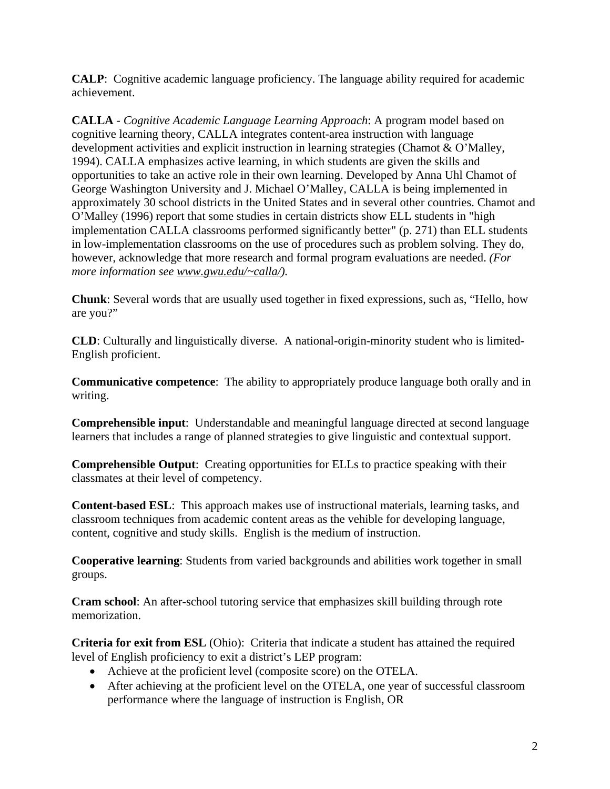**CALP**: Cognitive academic language proficiency. The language ability required for academic achievement.

**CALLA** - *Cognitive Academic Language Learning Approach*: A program model based on cognitive learning theory, CALLA integrates content-area instruction with language development activities and explicit instruction in learning strategies (Chamot & O'Malley, 1994). CALLA emphasizes active learning, in which students are given the skills and opportunities to take an active role in their own learning. Developed by Anna Uhl Chamot of George Washington University and J. Michael O'Malley, CALLA is being implemented in approximately 30 school districts in the United States and in several other countries. Chamot and O'Malley (1996) report that some studies in certain districts show ELL students in "high implementation CALLA classrooms performed significantly better" (p. 271) than ELL students in low-implementation classrooms on the use of procedures such as problem solving. They do, however, acknowledge that more research and formal program evaluations are needed. *(For more information see [www.gwu.edu/~calla/](http://www.gwu.edu/%7Ecalla/)).*

**Chunk**: Several words that are usually used together in fixed expressions, such as, "Hello, how are you?"

**CLD**: Culturally and linguistically diverse. A national-origin-minority student who is limited-English proficient.

**Communicative competence**: The ability to appropriately produce language both orally and in writing.

**Comprehensible input**: Understandable and meaningful language directed at second language learners that includes a range of planned strategies to give linguistic and contextual support.

**Comprehensible Output**: Creating opportunities for ELLs to practice speaking with their classmates at their level of competency.

**Content-based ESL**: This approach makes use of instructional materials, learning tasks, and classroom techniques from academic content areas as the vehible for developing language, content, cognitive and study skills. English is the medium of instruction.

**Cooperative learning**: Students from varied backgrounds and abilities work together in small groups.

**Cram school**: An after-school tutoring service that emphasizes skill building through rote memorization.

**Criteria for exit from ESL** (Ohio): Criteria that indicate a student has attained the required level of English proficiency to exit a district's LEP program:

- Achieve at the proficient level (composite score) on the OTELA.
- After achieving at the proficient level on the OTELA, one year of successful classroom performance where the language of instruction is English, OR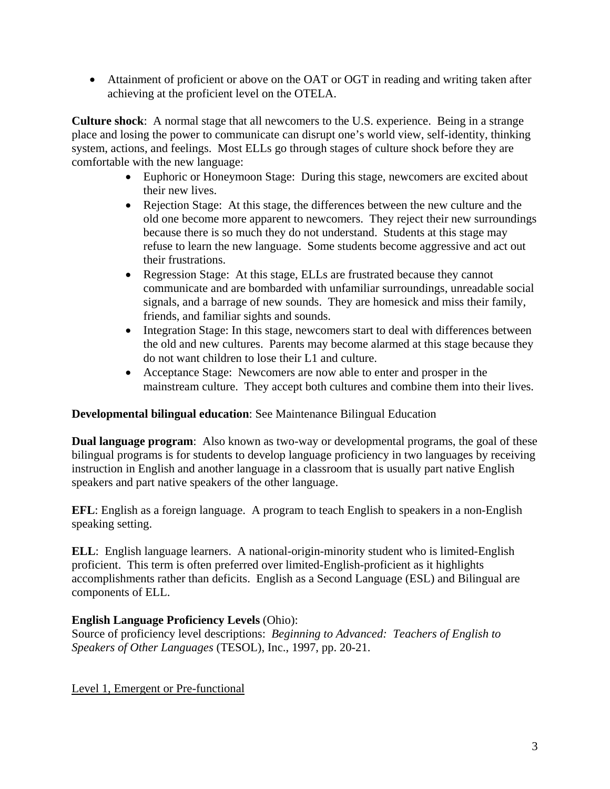• Attainment of proficient or above on the OAT or OGT in reading and writing taken after achieving at the proficient level on the OTELA.

**Culture shock**: A normal stage that all newcomers to the U.S. experience. Being in a strange place and losing the power to communicate can disrupt one's world view, self-identity, thinking system, actions, and feelings. Most ELLs go through stages of culture shock before they are comfortable with the new language:

- Euphoric or Honeymoon Stage: During this stage, newcomers are excited about their new lives.
- Rejection Stage: At this stage, the differences between the new culture and the old one become more apparent to newcomers. They reject their new surroundings because there is so much they do not understand. Students at this stage may refuse to learn the new language. Some students become aggressive and act out their frustrations.
- Regression Stage: At this stage, ELLs are frustrated because they cannot communicate and are bombarded with unfamiliar surroundings, unreadable social signals, and a barrage of new sounds. They are homesick and miss their family, friends, and familiar sights and sounds.
- Integration Stage: In this stage, new comers start to deal with differences between the old and new cultures. Parents may become alarmed at this stage because they do not want children to lose their L1 and culture.
- Acceptance Stage: Newcomers are now able to enter and prosper in the mainstream culture. They accept both cultures and combine them into their lives.

## **Developmental bilingual education**: See Maintenance Bilingual Education

**Dual language program**: Also known as two-way or developmental programs, the goal of these bilingual programs is for students to develop language proficiency in two languages by receiving instruction in English and another language in a classroom that is usually part native English speakers and part native speakers of the other language.

**EFL**: English as a foreign language. A program to teach English to speakers in a non-English speaking setting.

**ELL**: English language learners. A national-origin-minority student who is limited-English proficient. This term is often preferred over limited-English-proficient as it highlights accomplishments rather than deficits. English as a Second Language (ESL) and Bilingual are components of ELL.

# **English Language Proficiency Levels** (Ohio):

Source of proficiency level descriptions: *Beginning to Advanced: Teachers of English to Speakers of Other Languages* (TESOL), Inc., 1997, pp. 20-21.

Level 1, Emergent or Pre-functional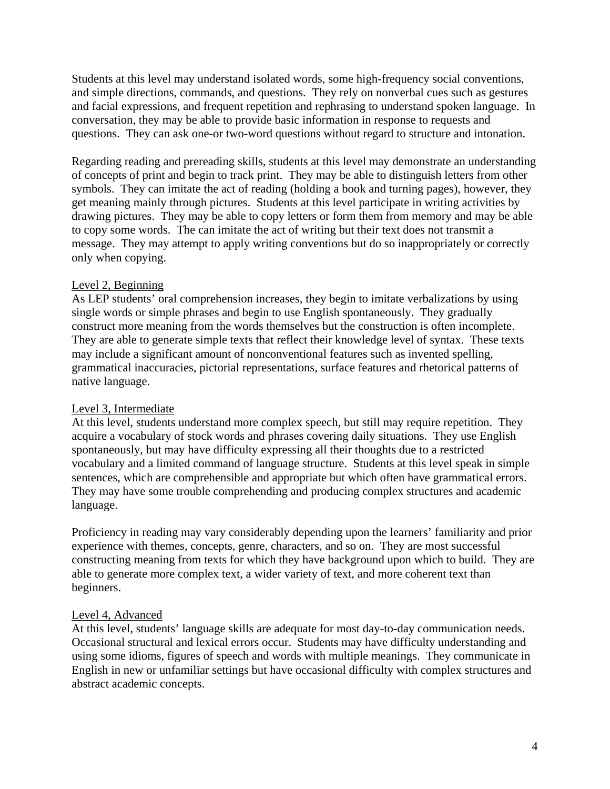Students at this level may understand isolated words, some high-frequency social conventions, and simple directions, commands, and questions. They rely on nonverbal cues such as gestures and facial expressions, and frequent repetition and rephrasing to understand spoken language. In conversation, they may be able to provide basic information in response to requests and questions. They can ask one-or two-word questions without regard to structure and intonation.

Regarding reading and prereading skills, students at this level may demonstrate an understanding of concepts of print and begin to track print. They may be able to distinguish letters from other symbols. They can imitate the act of reading (holding a book and turning pages), however, they get meaning mainly through pictures. Students at this level participate in writing activities by drawing pictures. They may be able to copy letters or form them from memory and may be able to copy some words. The can imitate the act of writing but their text does not transmit a message. They may attempt to apply writing conventions but do so inappropriately or correctly only when copying.

### Level 2, Beginning

As LEP students' oral comprehension increases, they begin to imitate verbalizations by using single words or simple phrases and begin to use English spontaneously. They gradually construct more meaning from the words themselves but the construction is often incomplete. They are able to generate simple texts that reflect their knowledge level of syntax. These texts may include a significant amount of nonconventional features such as invented spelling, grammatical inaccuracies, pictorial representations, surface features and rhetorical patterns of native language.

## Level 3, Intermediate

At this level, students understand more complex speech, but still may require repetition. They acquire a vocabulary of stock words and phrases covering daily situations. They use English spontaneously, but may have difficulty expressing all their thoughts due to a restricted vocabulary and a limited command of language structure. Students at this level speak in simple sentences, which are comprehensible and appropriate but which often have grammatical errors. They may have some trouble comprehending and producing complex structures and academic language.

Proficiency in reading may vary considerably depending upon the learners' familiarity and prior experience with themes, concepts, genre, characters, and so on. They are most successful constructing meaning from texts for which they have background upon which to build. They are able to generate more complex text, a wider variety of text, and more coherent text than beginners.

### Level 4, Advanced

At this level, students' language skills are adequate for most day-to-day communication needs. Occasional structural and lexical errors occur. Students may have difficulty understanding and using some idioms, figures of speech and words with multiple meanings. They communicate in English in new or unfamiliar settings but have occasional difficulty with complex structures and abstract academic concepts.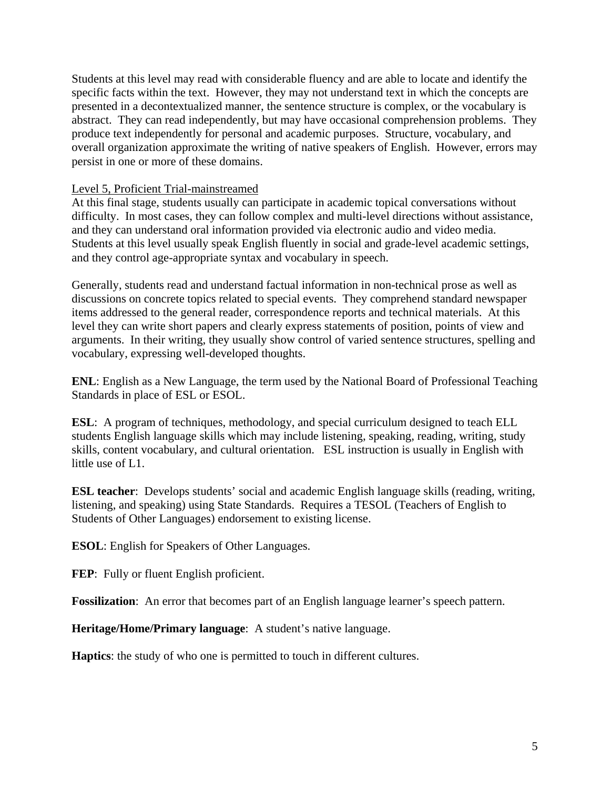Students at this level may read with considerable fluency and are able to locate and identify the specific facts within the text. However, they may not understand text in which the concepts are presented in a decontextualized manner, the sentence structure is complex, or the vocabulary is abstract. They can read independently, but may have occasional comprehension problems. They produce text independently for personal and academic purposes. Structure, vocabulary, and overall organization approximate the writing of native speakers of English. However, errors may persist in one or more of these domains.

### Level 5, Proficient Trial-mainstreamed

At this final stage, students usually can participate in academic topical conversations without difficulty. In most cases, they can follow complex and multi-level directions without assistance, and they can understand oral information provided via electronic audio and video media. Students at this level usually speak English fluently in social and grade-level academic settings, and they control age-appropriate syntax and vocabulary in speech.

Generally, students read and understand factual information in non-technical prose as well as discussions on concrete topics related to special events. They comprehend standard newspaper items addressed to the general reader, correspondence reports and technical materials. At this level they can write short papers and clearly express statements of position, points of view and arguments. In their writing, they usually show control of varied sentence structures, spelling and vocabulary, expressing well-developed thoughts.

**ENL**: English as a New Language, the term used by the National Board of Professional Teaching Standards in place of ESL or ESOL.

**ESL:** A program of techniques, methodology, and special curriculum designed to teach ELL students English language skills which may include listening, speaking, reading, writing, study skills, content vocabulary, and cultural orientation. ESL instruction is usually in English with little use of L1.

**ESL teacher**: Develops students' social and academic English language skills (reading, writing, listening, and speaking) using State Standards. Requires a TESOL (Teachers of English to Students of Other Languages) endorsement to existing license.

**ESOL**: English for Speakers of Other Languages.

**FEP**: Fully or fluent English proficient.

**Fossilization**: An error that becomes part of an English language learner's speech pattern.

**Heritage/Home/Primary language**: A student's native language.

**Haptics**: the study of who one is permitted to touch in different cultures.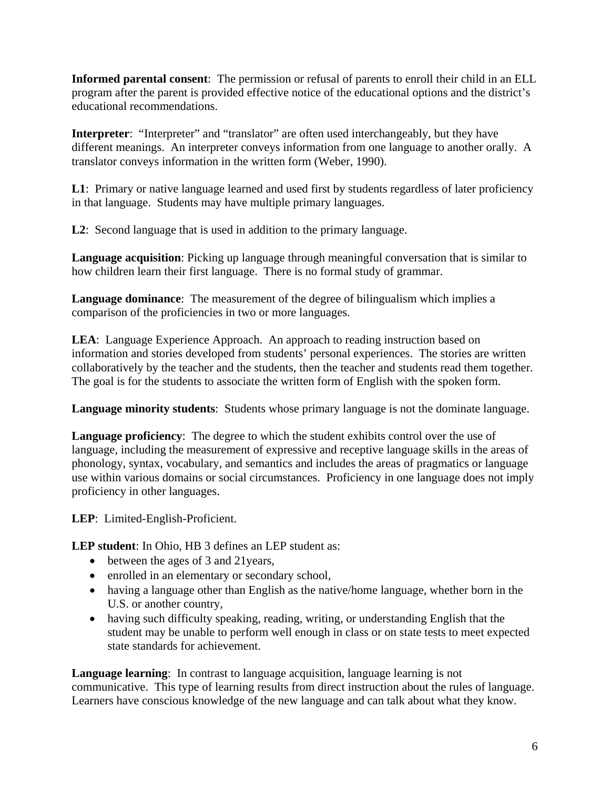**Informed parental consent**: The permission or refusal of parents to enroll their child in an ELL program after the parent is provided effective notice of the educational options and the district's educational recommendations.

**Interpreter**: "Interpreter" and "translator" are often used interchangeably, but they have different meanings. An interpreter conveys information from one language to another orally. A translator conveys information in the written form (Weber, 1990).

L1: Primary or native language learned and used first by students regardless of later proficiency in that language. Students may have multiple primary languages.

**L2**: Second language that is used in addition to the primary language.

**Language acquisition**: Picking up language through meaningful conversation that is similar to how children learn their first language. There is no formal study of grammar.

**Language dominance**: The measurement of the degree of bilingualism which implies a comparison of the proficiencies in two or more languages.

**LEA**: Language Experience Approach. An approach to reading instruction based on information and stories developed from students' personal experiences. The stories are written collaboratively by the teacher and the students, then the teacher and students read them together. The goal is for the students to associate the written form of English with the spoken form.

**Language minority students**: Students whose primary language is not the dominate language.

**Language proficiency**: The degree to which the student exhibits control over the use of language, including the measurement of expressive and receptive language skills in the areas of phonology, syntax, vocabulary, and semantics and includes the areas of pragmatics or language use within various domains or social circumstances. Proficiency in one language does not imply proficiency in other languages.

**LEP**: Limited-English-Proficient.

**LEP student**: In Ohio, HB 3 defines an LEP student as:

- between the ages of 3 and 21 years,
- enrolled in an elementary or secondary school,
- having a language other than English as the native/home language, whether born in the U.S. or another country,
- having such difficulty speaking, reading, writing, or understanding English that the student may be unable to perform well enough in class or on state tests to meet expected state standards for achievement.

**Language learning**: In contrast to language acquisition, language learning is not communicative. This type of learning results from direct instruction about the rules of language. Learners have conscious knowledge of the new language and can talk about what they know.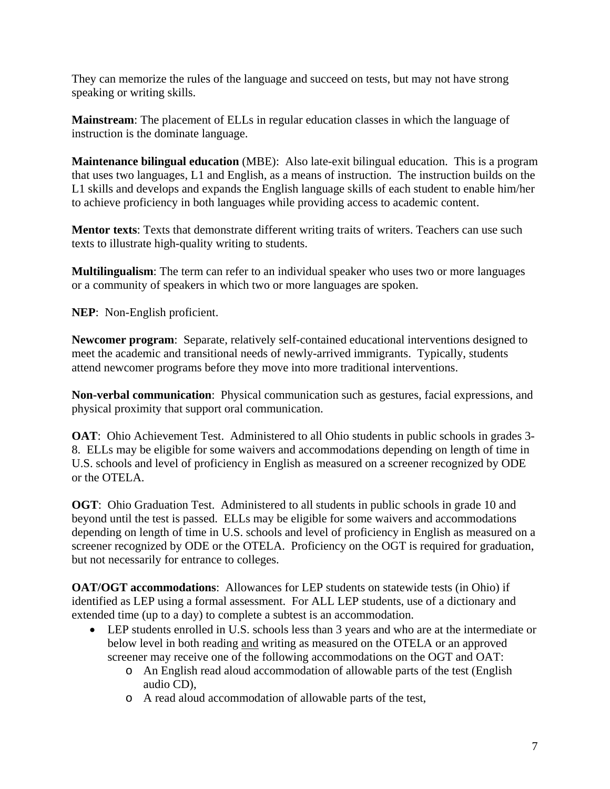They can memorize the rules of the language and succeed on tests, but may not have strong speaking or writing skills.

**Mainstream**: The placement of ELLs in regular education classes in which the language of instruction is the dominate language.

**Maintenance bilingual education** (MBE): Also late-exit bilingual education. This is a program that uses two languages, L1 and English, as a means of instruction. The instruction builds on the L1 skills and develops and expands the English language skills of each student to enable him/her to achieve proficiency in both languages while providing access to academic content.

**Mentor texts**: Texts that demonstrate different writing traits of writers. Teachers can use such texts to illustrate high-quality writing to students.

**Multilingualism**: The term can refer to an individual speaker who uses two or more languages or a community of speakers in which two or more languages are spoken.

**NEP**: Non-English proficient.

**Newcomer program**: Separate, relatively self-contained educational interventions designed to meet the academic and transitional needs of newly-arrived immigrants. Typically, students attend newcomer programs before they move into more traditional interventions.

**Non-verbal communication**: Physical communication such as gestures, facial expressions, and physical proximity that support oral communication.

**OAT:** Ohio Achievement Test. Administered to all Ohio students in public schools in grades 3-8. ELLs may be eligible for some waivers and accommodations depending on length of time in U.S. schools and level of proficiency in English as measured on a screener recognized by ODE or the OTELA.

**OGT**: Ohio Graduation Test. Administered to all students in public schools in grade 10 and beyond until the test is passed. ELLs may be eligible for some waivers and accommodations depending on length of time in U.S. schools and level of proficiency in English as measured on a screener recognized by ODE or the OTELA. Proficiency on the OGT is required for graduation, but not necessarily for entrance to colleges.

**OAT/OGT accommodations**: Allowances for LEP students on statewide tests (in Ohio) if identified as LEP using a formal assessment. For ALL LEP students, use of a dictionary and extended time (up to a day) to complete a subtest is an accommodation.

- LEP students enrolled in U.S. schools less than 3 years and who are at the intermediate or below level in both reading and writing as measured on the OTELA or an approved screener may receive one of the following accommodations on the OGT and OAT:
	- o An English read aloud accommodation of allowable parts of the test (English audio CD),
	- o A read aloud accommodation of allowable parts of the test,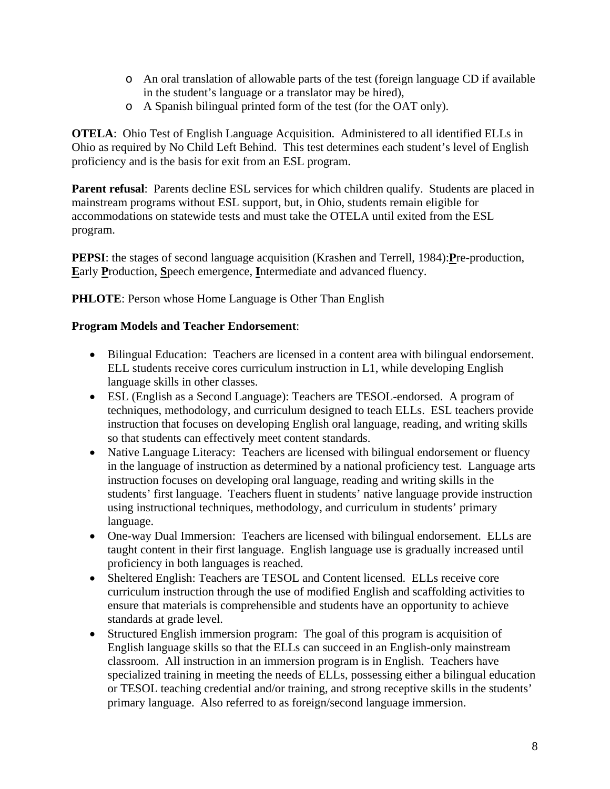- o An oral translation of allowable parts of the test (foreign language CD if available in the student's language or a translator may be hired),
- o A Spanish bilingual printed form of the test (for the OAT only).

**OTELA**: Ohio Test of English Language Acquisition. Administered to all identified ELLs in Ohio as required by No Child Left Behind. This test determines each student's level of English proficiency and is the basis for exit from an ESL program.

**Parent refusal:** Parents decline ESL services for which children qualify. Students are placed in mainstream programs without ESL support, but, in Ohio, students remain eligible for accommodations on statewide tests and must take the OTELA until exited from the ESL program.

**PEPSI**: the stages of second language acquisition (Krashen and Terrell, 1984):**P**re-production, **E**arly **P**roduction, **S**peech emergence, **I**ntermediate and advanced fluency.

**PHLOTE:** Person whose Home Language is Other Than English

### **Program Models and Teacher Endorsement**:

- Bilingual Education: Teachers are licensed in a content area with bilingual endorsement. ELL students receive cores curriculum instruction in L1, while developing English language skills in other classes.
- ESL (English as a Second Language): Teachers are TESOL-endorsed. A program of techniques, methodology, and curriculum designed to teach ELLs. ESL teachers provide instruction that focuses on developing English oral language, reading, and writing skills so that students can effectively meet content standards.
- Native Language Literacy: Teachers are licensed with bilingual endorsement or fluency in the language of instruction as determined by a national proficiency test. Language arts instruction focuses on developing oral language, reading and writing skills in the students' first language. Teachers fluent in students' native language provide instruction using instructional techniques, methodology, and curriculum in students' primary language.
- One-way Dual Immersion: Teachers are licensed with bilingual endorsement. ELLs are taught content in their first language. English language use is gradually increased until proficiency in both languages is reached.
- Sheltered English: Teachers are TESOL and Content licensed. ELLs receive core curriculum instruction through the use of modified English and scaffolding activities to ensure that materials is comprehensible and students have an opportunity to achieve standards at grade level.
- Structured English immersion program: The goal of this program is acquisition of English language skills so that the ELLs can succeed in an English-only mainstream classroom. All instruction in an immersion program is in English. Teachers have specialized training in meeting the needs of ELLs, possessing either a bilingual education or TESOL teaching credential and/or training, and strong receptive skills in the students' primary language. Also referred to as foreign/second language immersion.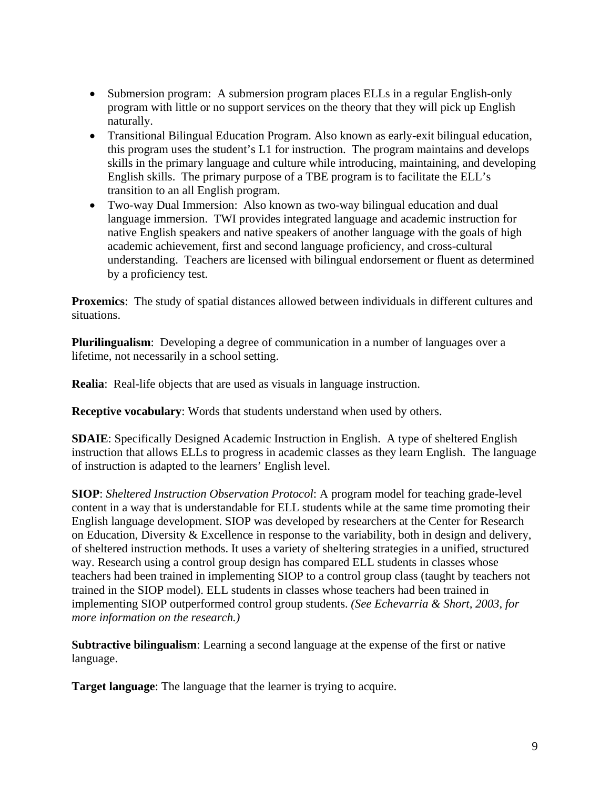- Submersion program: A submersion program places ELLs in a regular English-only program with little or no support services on the theory that they will pick up English naturally.
- Transitional Bilingual Education Program. Also known as early-exit bilingual education, this program uses the student's L1 for instruction. The program maintains and develops skills in the primary language and culture while introducing, maintaining, and developing English skills. The primary purpose of a TBE program is to facilitate the ELL's transition to an all English program.
- Two-way Dual Immersion: Also known as two-way bilingual education and dual language immersion. TWI provides integrated language and academic instruction for native English speakers and native speakers of another language with the goals of high academic achievement, first and second language proficiency, and cross-cultural understanding. Teachers are licensed with bilingual endorsement or fluent as determined by a proficiency test.

**Proxemics**: The study of spatial distances allowed between individuals in different cultures and situations.

**Plurilingualism**: Developing a degree of communication in a number of languages over a lifetime, not necessarily in a school setting.

**Realia**: Real-life objects that are used as visuals in language instruction.

**Receptive vocabulary**: Words that students understand when used by others.

**SDAIE**: Specifically Designed Academic Instruction in English. A type of sheltered English instruction that allows ELLs to progress in academic classes as they learn English. The language of instruction is adapted to the learners' English level.

**SIOP**: *Sheltered Instruction Observation Protocol*: A program model for teaching grade-level content in a way that is understandable for ELL students while at the same time promoting their English language development. SIOP was developed by researchers at the Center for Research on Education, Diversity & Excellence in response to the variability, both in design and delivery, of sheltered instruction methods. It uses a variety of sheltering strategies in a unified, structured way. Research using a control group design has compared ELL students in classes whose teachers had been trained in implementing SIOP to a control group class (taught by teachers not trained in the SIOP model). ELL students in classes whose teachers had been trained in implementing SIOP outperformed control group students. *(See Echevarria & Short, 2003, for more information on the research.)*

**Subtractive bilingualism**: Learning a second language at the expense of the first or native language.

**Target language**: The language that the learner is trying to acquire.